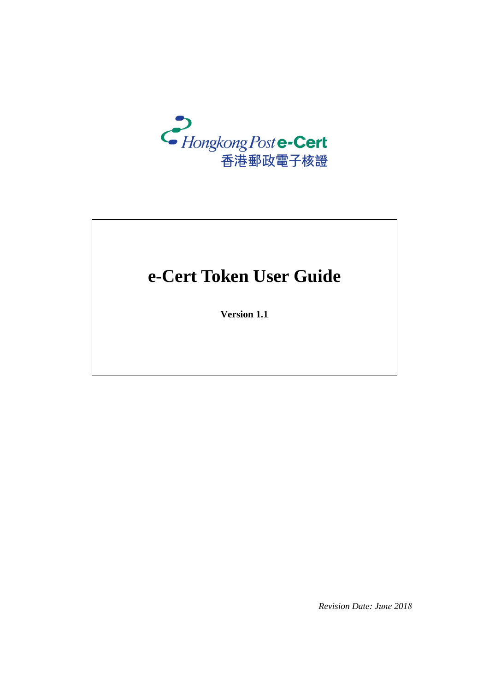

# e-Cert Token User Guide

Version 1.1

Revision Date: June 2018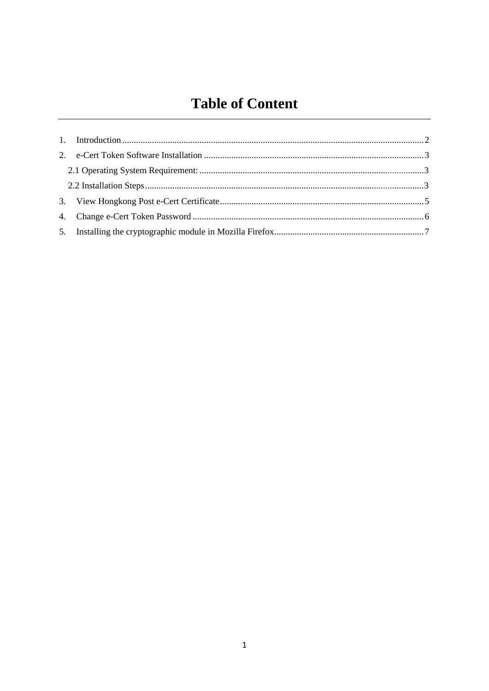## **Table of Content**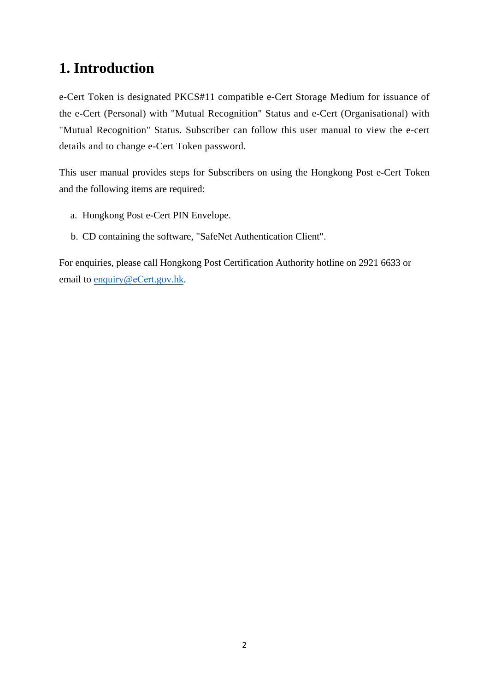### **1. Introduction**

e-Cert Token is designated PKCS#11 compatible e-Cert Storage Medium for issuance of the e-Cert (Personal) with "Mutual Recognition" Status and e-Cert (Organisational) with "Mutual Recognition" Status. Subscriber can follow this user manual to view the e-cert details and to change e-Cert Token password.

This user manual provides steps for Subscribers on using the Hongkong Post e-Cert Token and the following items are required:

- a. Hongkong Post e-Cert PIN Envelope.
- b. CD containing the software, "SafeNet Authentication Client".

For enquiries, please call Hongkong Post Certification Authority hotline on 2921 6633 or email to [enquiry@](mailto:enquiry@eCert.gov.hk)eCert.gov.hk.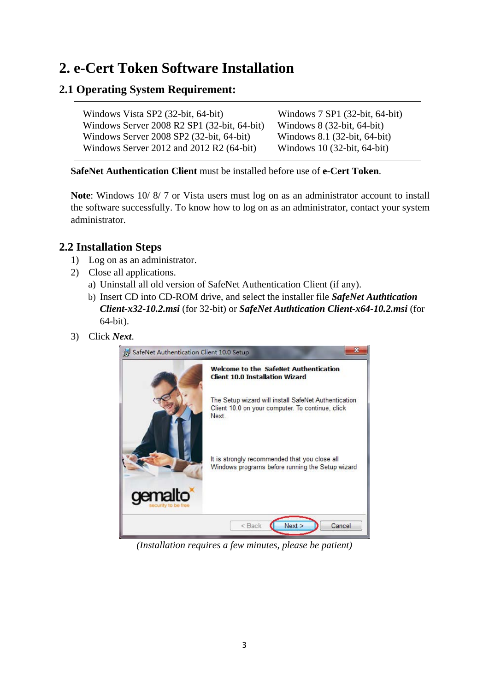### **2. e-Cert Token Software Installation**

### **2.1 Operating System Requirement:**

Windows Vista SP2 (32-bit, 64-bit) Windows Server 2008 R2 SP1 (32-bit, 64-bit) Windows Server 2008 SP2 (32-bit, 64-bit) Windows Server 2012 and 2012 R2 (64-bit)

Windows 7 SP1 (32-bit, 64-bit) Windows 8 (32-bit, 64-bit) Windows 8.1 (32-bit, 64-bit) Windows 10 (32-bit, 64-bit)

**SafeNet Authentication Client** must be installed before use of **e-Cert Token**.

**Note**: Windows 10/ 8/ 7 or Vista users must log on as an administrator account to install the software successfully. To know how to log on as an administrator, contact your system administrator.

#### **2.2 Installation Steps**

- 1) Log on as an administrator.
- 2) Close all applications.
	- a) Uninstall all old version of SafeNet Authentication Client (if any).
	- b) Insert CD into CD-ROM drive, and select the installer file *SafeNet Authtication Client-x32-10.2.msi* (for 32-bit) or *SafeNet Authtication Client-x64-10.2.msi* (for 64-bit).
- 3) Click *Next*.



*(Installation requires a few minutes, please be patient)*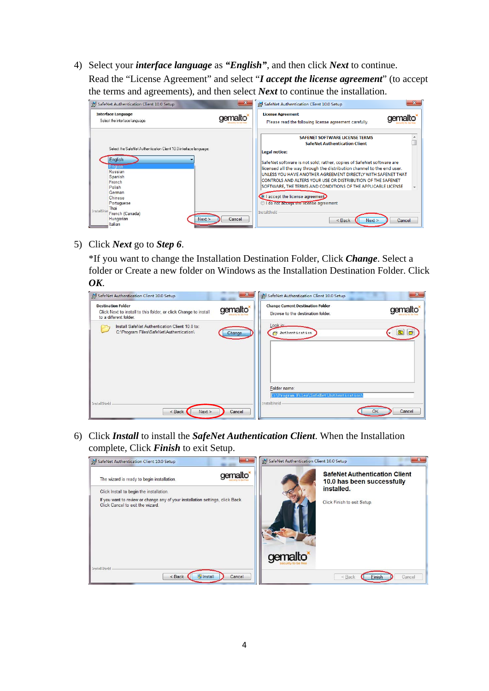4) Select your *interface language* as *"English"*, and then click *Next* to continue. Read the "License Agreement" and select "*I accept the license agreement*" (to accept the terms and agreements), and then select *Next* to continue the installation.

| <b>Interface Language</b><br>Select the interface language.       | gemalto*         | <b>License Agreement</b><br>Please read the following license agreement carefully.                                                      |
|-------------------------------------------------------------------|------------------|-----------------------------------------------------------------------------------------------------------------------------------------|
|                                                                   |                  | <b>SAFENET SOFTWARE LICENSE TERMS</b><br><b>SafeNet Authentication Client</b>                                                           |
| Select the SafeNet Authentication Client 10.0 interface language: |                  | Legal notice:                                                                                                                           |
| English<br>English                                                |                  | SafeNet software is not sold; rather, copies of SafeNet software are                                                                    |
| <b>Russian</b>                                                    |                  | licensed all the way through the distribution channel to the end user.<br>UNI ESS YOU HAVE ANOTHER AGREEMENT DIRECTLY WITH SAFENET THAT |
| Spanish<br>French                                                 |                  | CONTROLS AND ALTERS YOUR USE OR DISTRIBUTION OF THE SAFENET                                                                             |
| Polish                                                            |                  | SOFTWARE, THE TERMS AND CONDITIONS OF THE APPLICABLE LICENSE                                                                            |
| German                                                            |                  | I accept the license agreement                                                                                                          |
| Chinese<br>Portuguese                                             |                  | I do not accept the license agreement                                                                                                   |
| Thai<br>InstallShie                                               |                  | <b>InstallShield</b>                                                                                                                    |
| French (Canada)<br>Hungarian                                      | Next ><br>Cancel |                                                                                                                                         |
| Italian                                                           |                  | $Back$<br>Cancel<br>Next                                                                                                                |

5) Click *Next* go to *Step 6*.

\*If you want to change the Installation Destination Folder, Click *Change*. Select a folder or Create a new folder on Windows as the Installation Destination Folder. Click *OK*.

| SafeNet Authentication Client 10.0 Setup                                                                                | $\mathbf{x}$ | SafeNet Authentication Client 10.0 Setup                                      | $\mathbf{x}$ |
|-------------------------------------------------------------------------------------------------------------------------|--------------|-------------------------------------------------------------------------------|--------------|
| <b>Destination Folder</b><br>Click Next to install to this folder, or click Change to install<br>to a different folder. | gemalto*     | <b>Change Current Destination Folder</b><br>Browse to the destination folder. | gemalto      |
| Install SafeNet Authentication Client 10.0 to:<br>C:\Program Files\SafeNet\Authentication\                              | Change       | Look in:<br>Authentication<br>Folder name:                                    | 面            |
| InstallShield<br>< Back<br>Next                                                                                         | Cancel       | C: \Program Files\SafeNet\Authentication\<br>InstallShield                    | Cancel<br>ок |

6) Click *Install* to install the *SafeNet Authentication Client*. When the Installation complete, Click *Finish* to exit Setup.

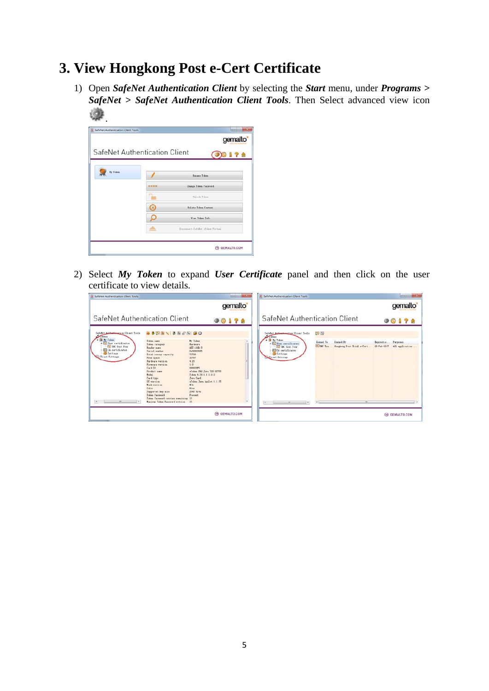### **3. View Hongkong Post e-Cert Certificate**

1) Open *SafeNet Authentication Client* by selecting the *Start* menu, under *Programs > SafeNet > SafeNet Authentication Client Tools*. Then Select advanced view icon .

|                               |            | gemalto <sup>®</sup>                |  |  |
|-------------------------------|------------|-------------------------------------|--|--|
| SafeNet Authentication Client |            | 178                                 |  |  |
| fly Token                     |            | <b>Excuse Token</b>                 |  |  |
|                               | deskrakesk | Change Token Pannword               |  |  |
|                               |            | <b>Hallenk Token</b>                |  |  |
|                               | (x         | Belete Token Centent                |  |  |
|                               |            | View Token Info                     |  |  |
|                               |            | Disconnect Sufallet (Polen Victual) |  |  |

2) Select *My Token* to expand *User Certificate* panel and then click on the user certificate to view details.

| SafeNet Authentication Client Tools                                                                                                                                               |                                                                                                                                                                                                                                                                                                                                                       |                                                                                                                                                                                                                                                                      | <b>RESIDENCE AND THE</b> | S SafeNet Authentication Client Tools                                                                                                                                           |                                                                          | <b>CHARLES</b>                                                  |
|-----------------------------------------------------------------------------------------------------------------------------------------------------------------------------------|-------------------------------------------------------------------------------------------------------------------------------------------------------------------------------------------------------------------------------------------------------------------------------------------------------------------------------------------------------|----------------------------------------------------------------------------------------------------------------------------------------------------------------------------------------------------------------------------------------------------------------------|--------------------------|---------------------------------------------------------------------------------------------------------------------------------------------------------------------------------|--------------------------------------------------------------------------|-----------------------------------------------------------------|
|                                                                                                                                                                                   |                                                                                                                                                                                                                                                                                                                                                       |                                                                                                                                                                                                                                                                      | gemalto <sup>*</sup>     |                                                                                                                                                                                 |                                                                          | gemalto                                                         |
| SafeNet Authentication Client                                                                                                                                                     |                                                                                                                                                                                                                                                                                                                                                       | <b>90178</b>                                                                                                                                                                                                                                                         |                          | SafeNet Authentication Client                                                                                                                                                   |                                                                          | <b>90178</b>                                                    |
| SafeNet Authentination Client Tools<br>$\sqrt{ }$<br>a is by Token<br>. C User certificates<br><b>Call TBC</b> Text Four<br><b>CA</b> certificates<br>Settings<br>Client Settings | <b>6854541255</b><br>Taken news<br>Token category<br>Reader none<br>Terial susher<br>Total memory capacity<br>Free space<br>Mardeare version.<br>Fireware version.<br>Card IB<br>Fredert name<br>$H = 1.1$<br>Card type<br>OS version<br>Back version.<br>Caller<br>Supported key nize<br><b>Token Password</b><br>Token Paxmerd retries resaining 15 | My Taken.<br><b>Racdeure</b><br>$AIS$ $168.0$<br>Outcompagne<br>73728<br>32767<br>4.29<br>1.0<br><b>ODBRZYSPS</b><br>aTaken PRO Java 72X 05755<br>Taken 4, 29, 1, 1, 0, 0<br>Java Card<br>«Tohen Java Applet 1.1.25<br><b>K/A</b><br>$32u+$<br>2048 Sixs<br>Present. |                          | SafeFet Authentication Client Tools<br>$\sqrt{10k+11}$<br>. If By Token<br>. C Vier certificates<br><b>Call TBC</b> Test Four<br>CA certificates<br>Settings<br>Client Settings | 国国<br>Issued To<br>Issued By<br>F. THC Tex<br>Hongkong Post Trial e-Cert | Turpeass<br>Espiratio<br>$28 - 8 + 1 - 2017$<br>All application |
| --<br>1. 6                                                                                                                                                                        | <b>Bazista Token Password retries</b>                                                                                                                                                                                                                                                                                                                 | 15                                                                                                                                                                                                                                                                   | $\sim$                   | $\epsilon$ by<br>$\rightarrow$                                                                                                                                                  | m.<br>$\sim$                                                             |                                                                 |
|                                                                                                                                                                                   |                                                                                                                                                                                                                                                                                                                                                       | A GEMALTO.COM                                                                                                                                                                                                                                                        |                          |                                                                                                                                                                                 |                                                                          | <b>ED GEMALTO.COM</b>                                           |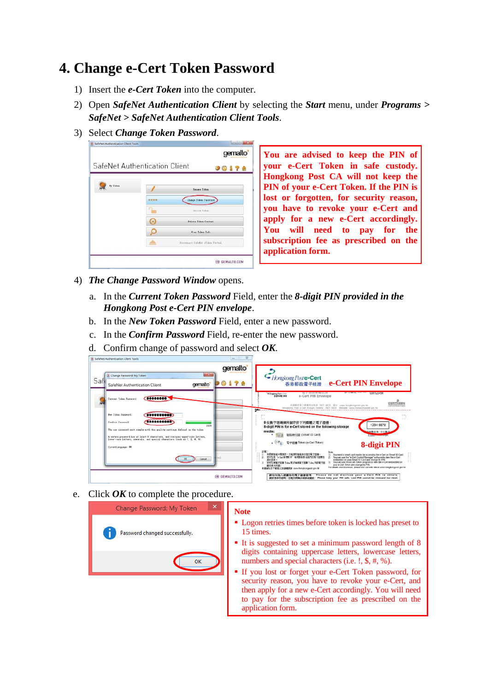### **4. Change e-Cert Token Password**

- 1) Insert the *e-Cert Token* into the computer.
- 2) Open *SafeNet Authentication Client* by selecting the *Start* menu, under *Programs > SafeNet > SafeNet Authentication Client Tools*.
- 3) Select *Change Token Password*.



**You are advised to keep the PIN of your e-Cert Token in safe custody. Hongkong Post CA will not keep the PIN of your e-Cert Token. If the PIN is lost or forgotten, for security reason, you have to revoke your e-Cert and apply for a new e-Cert accordingly. You will need to pay for the subscription fee as prescribed on the application form.**

- 4) *The Change Password Window* opens.
	- a. In the *Current Token Password* Field, enter the *8-digit PIN provided in the Hongkong Post e-Cert PIN envelope*.
	- b. In the *New Token Password* Field, enter a new password.
	- c. In the *Confirm Password* Field, re-enter the new password.
	- d. Confirm change of password and select *OK*.



e. Click *OK* to complete the procedure.



#### **Note**

- **Logon retries times before token is locked has preset to** 15 times.
- It is suggested to set a minimum password length of 8 digits containing uppercase letters, lowercase letters, numbers and special characters (i.e. !, \$, #, %).
- If you lost or forget your e-Cert Token password, for security reason, you have to revoke your e-Cert, and then apply for a new e-Cert accordingly. You will need to pay for the subscription fee as prescribed on the application form.